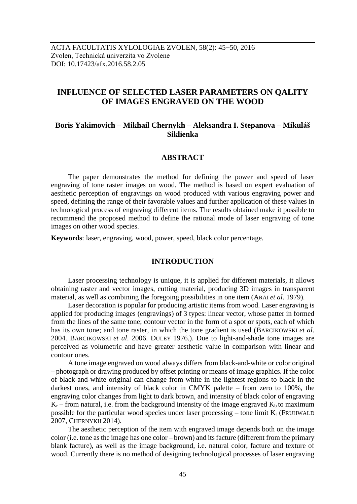# **INFLUENCE OF SELECTED LASER PARAMETERS ON QALITY OF IMAGES ENGRAVED ON THE WOOD**

# **Boris Yakimovich – Mikhail Chernykh – Aleksandra I. Stepanova – Mikuláš Siklienka**

#### **ABSTRACT**

The paper demonstrates the method for defining the power and speed of laser engraving of tone raster images on wood. The method is based on expert evaluation of aesthetic perception of engravings on wood produced with various engraving power and speed, defining the range of their favorable values and further application of these values in technological process of engraving different items. The results obtained make it possible to recommend the proposed method to define the rational mode of laser engraving of tone images on other wood species.

**Keywords**: laser, engraving, wood, power, speed, black color percentage.

### **INTRODUCTION**

Laser processing technology is unique, it is applied for different materials, it allows obtaining raster and vector images, cutting material, producing 3D images in transparent material, as well as combining the foregoing possibilities in one item (ARAI *et al*. 1979).

Laser decoration is popular for producing artistic items from wood. Laser engraving is applied for producing images (engravings) of 3 types: linear vector, whose patter in formed from the lines of the same tone; contour vector in the form of a spot or spots, each of which has its own tone; and tone raster, in which the tone gradient is used (BARCIKOWSKI *et al*. 2004. BARCIKOWSKI *et al*. 2006. DULEY 1976.). Due to light-and-shade tone images are perceived as volumetric and have greater aesthetic value in comparison with linear and contour ones.

A tone image engraved on wood always differs from black-and-white or color original – photograph or drawing produced by offset printing or means of image graphics. If the color of black-and-white original can change from white in the lightest regions to black in the darkest ones, and intensity of black color in CMYK palette – from zero to 100%, the engraving color changes from light to dark brown, and intensity of black color of engraving  $K_r$  – from natural, i.e. from the background intensity of the image engraved  $K_b$  to maximum possible for the particular wood species under laser processing – tone limit  $K_t$  (FRUHWALD 2007, CHERNYKH 2014).

The aesthetic perception of the item with engraved image depends both on the image color (i.e. tone as the image has one color – brown) and its facture (different from the primary blank facture), as well as the image background, i.e. natural color, facture and texture of wood. Currently there is no method of designing technological processes of laser engraving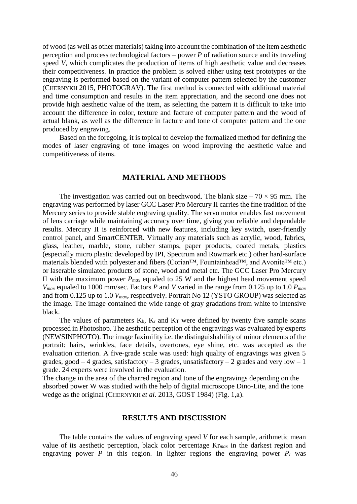of wood (as well as other materials) taking into account the combination of the item aesthetic perception and process technological factors – power *P* of radiation source and its traveling speed *V*, which complicates the production of items of high aesthetic value and decreases their competitiveness. In practice the problem is solved either using test prototypes or the engraving is performed based on the variant of computer pattern selected by the customer (CHERNYKH 2015, PHOTOGRAV). The first method is connected with additional material and time consumption and results in the item appreciation, and the second one does not provide high aesthetic value of the item, as selecting the pattern it is difficult to take into account the difference in color, texture and facture of computer pattern and the wood of actual blank, as well as the difference in facture and tone of computer pattern and the one produced by engraving.

Based on the foregoing, it is topical to develop the formalized method for defining the modes of laser engraving of tone images on wood improving the aesthetic value and competitiveness of items.

#### **MATERIAL AND METHODS**

The investigation was carried out on beechwood. The blank size  $-70 \times 95$  mm. The engraving was performed by laser GCC Laser Pro Mercury II carries the fine tradition of the Mercury series to provide stable engraving quality. The servo motor enables fast movement of lens carriage while maintaining accuracy over time, giving you reliable and dependable results. Mercury II is reinforced with new features, including key switch, user-friendly control panel, and SmartCENTER. Virtually any materials such as acrylic, wood, fabrics, glass, leather, marble, stone, rubber stamps, paper products, coated metals, plastics (especially micro plastic developed by IPI, Spectrum and Rowmark etc.) other hard-surface materials blended with polyester and fibers (Corian™, Fountainhead™, and Avonite™ etc.) or laserable simulated products of stone, wood and metal etc. The GCC Laser Pro Mercury II with the maximum power  $P_{max}$  equaled to 25 W and the highest head movement speed *Vmax* equaled to 1000 mm/sec. Factors *P* and *V* varied in the range from 0.125 up to 1.0 *Pmax* and from 0.125 up to 1.0 *Vmax*, respectively. Portrait No 12 (YSTO GROUP) was selected as the image. The image contained the wide range of gray gradations from white to intensive black.

The values of parameters  $K_b$ ,  $K_r$  and  $K_T$  were defined by twenty five sample scans processed in Photoshop. The aesthetic perception of the engravings was evaluated by experts (NEWSINPHOTO). The image faximility i.e. the distinguishability of minor elements of the portrait: hairs, wrinkles, face details, overtones, eye shine, etc. was accepted as the evaluation criterion. A five-grade scale was used: high quality of engravings was given 5 grades, good  $-4$  grades, satisfactory  $-3$  grades, unsatisfactory  $-2$  grades and very low  $-1$ grade. 24 experts were involved in the evaluation.

The change in the area of the charred region and tone of the engravings depending on the absorbed power W was studied with the help of digital microscope Dino-Lite, and the tone wedge as the original (CHERNYKH *et al*. 2013, GOST 1984) (Fig. 1,а).

### **RESULTS AND DISCUSSION**

The table contains the values of engraving speed *V* for each sample, arithmetic mean value of its aesthetic perception, black color percentage Kr*max* in the darkest region and engraving power *P* in this region. In lighter regions the engraving power  $P_i$  was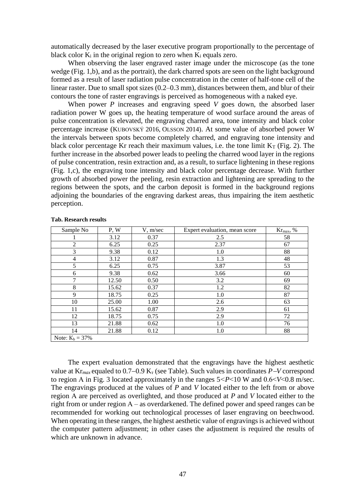automatically decreased by the laser executive program proportionally to the percentage of black color  $K_i$  in the original region to zero when  $K_i$  equals zero.

When observing the laser engraved raster image under the microscope (as the tone wedge (Fig. 1,b), and as the portrait), the dark charred spots are seen on the light background formed as a result of laser radiation pulse concentration in the center of half-tone cell of the linear raster. Due to small spot sizes (0.2–0.3 mm), distances between them, and blur of their contours the tone of raster engravings is perceived as homogeneous with a naked eye.

When power *P* increases and engraving speed *V* goes down, the absorbed laser radiation power W goes up, the heating temperature of wood surface around the areas of pulse concentration is elevated, the engraving charred area, tone intensity and black color percentage increase (KUBOVSKÝ 2016, OLSSON 2014). At some value of absorbed power W the intervals between spots become completely charred, and engraving tone intensity and black color percentage Kr reach their maximum values, i.e. the tone limit  $K_T$  (Fig. 2). The further increase in the absorbed power leads to peeling the charred wood layer in the regions of pulse concentration, resin extraction and, as a result, to surface lightening in these regions (Fig. 1,c), the engraving tone intensity and black color percentage decrease. With further growth of absorbed power the peeling, resin extraction and lightening are spreading to the regions between the spots, and the carbon deposit is formed in the background regions adjoining the boundaries of the engraving darkest areas, thus impairing the item aesthetic perception.

| Sample No          | P, W  | V, m/sec | Expert evaluation, mean score | $Kr_{max}$ , % |
|--------------------|-------|----------|-------------------------------|----------------|
|                    | 3.12  | 0.37     | 2.5                           | 58             |
| $\overline{c}$     | 6.25  | 0.25     | 2.37                          | 67             |
| 3                  | 9.38  | 0.12     | 1.0                           | 88             |
| 4                  | 3.12  | 0.87     | 1.3                           | 48             |
| 5                  | 6.25  | 0.75     | 3.87                          | 53             |
| 6                  | 9.38  | 0.62     | 3.66                          | 60             |
| 7                  | 12.50 | 0.50     | 3.2                           | 69             |
| 8                  | 15.62 | 0.37     | 1.2                           | 82             |
| 9                  | 18.75 | 0.25     | 1.0                           | 87             |
| 10                 | 25.00 | 1.00     | 2.6                           | 63             |
| 11                 | 15.62 | 0.87     | 2.9                           | 61             |
| 12                 | 18.75 | 0.75     | 2.9                           | 72             |
| 13                 | 21.88 | 0.62     | 1.0                           | 76             |
| 14                 | 21.88 | 0.12     | 1.0                           | 88             |
| Note: $K_b = 37\%$ |       |          |                               |                |

**Tab. Research results** 

The expert evaluation demonstrated that the engravings have the highest aesthetic value at  $\text{Kr}_{max}$  equaled to 0.7–0.9  $\text{K}_{\text{r}}$  (see Table). Such values in coordinates *P*-*V* correspond to region А in Fig. 3 located approximately in the ranges 5*˂P*˂10 W and 0.6˂*V*˂0.8 m/sec. The engravings produced at the values of *P* and *V* located either to the left from or above region А are perceived as overlighted, and those produced at *P* and *V* located either to the right from or under region А – as overdarkened. The defined power and speed ranges can be recommended for working out technological processes of laser engraving on beechwood. When operating in these ranges, the highest aesthetic value of engravings is achieved without the computer pattern adjustment; in other cases the adjustment is required the results of which are unknown in advance.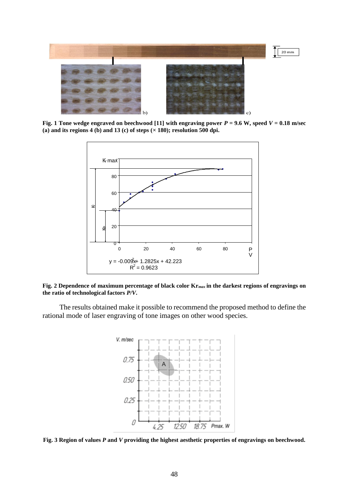

**Fig. 1** Tone wedge engraved on beechwood [11] with engraving power  $P = 9.6$  W, speed  $V = 0.18$  m/sec **(а) and its regions 4 (b) and 13 (c) of steps (× 180); resolution 500 dpi.**



**Fig. 2 Dependence of maximum percentage of black color Kr***max* **in the darkest regions of engravings on the ratio of technological factors** *P/V***.**

The results obtained make it possible to recommend the proposed method to define the rational mode of laser engraving of tone images on other wood species.



**Fig. 3 Region of values** *P* **and** *V* **providing the highest aesthetic properties of engravings on beechwood.**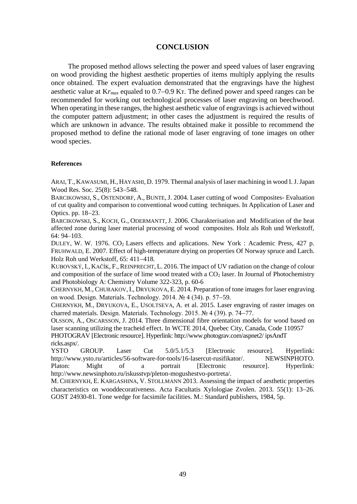## **CONCLUSION**

The proposed method allows selecting the power and speed values of laser engraving on wood providing the highest aesthetic properties of items multiply applying the results once obtained. The expert evaluation demonstrated that the engravings have the highest aesthetic value at  $K_{\text{max}}$  equaled to 0.7–0.9 K<sub>T</sub>. The defined power and speed ranges can be recommended for working out technological processes of laser engraving on beechwood. When operating in these ranges, the highest aesthetic value of engravings is achieved without the computer pattern adjustment; in other cases the adjustment is required the results of which are unknown in advance. The results obtained make it possible to recommend the proposed method to define the rational mode of laser engraving of tone images on other wood species.

#### **References**

ARAI, T., KAWASUMI, H., HAYASHI, D. 1979. Thermal analysis of laser machining in wood I. J. Japan Wood Res. Soc. 25(8): 543–548.

BARCIKOWSKI, S., OSTENDORF, A., BUNTE, J. 2004. Laser cutting of wood Composites- Evaluation of cut quality and comparison to conventional wood cutting techniques. In Application of Laser and Optics. pp. 18-23.

BARCIKOWSKI, S., KOCH, G., ODERMANTT, J. 2006. Charakterisation and Modification of the heat affected zone during laser material processing of wood composites. Holz als Roh und Werkstoff, 64: 94–103.

DULEY, W. W. 1976.  $CO<sub>2</sub>$  Lasers effects and aplications. New York : Academic Press, 427 p. FRUHWALD, E. 2007. Effect of high-temperature drying on properties Of Norway spruce and Larch. Holz Roh und Werkstoff, 65: 411-418.

KUBOVSKÝ, I., KAČÍK, F., REINPRECHT, L. 2016. The impact of UV radiation on the change of colour and composition of the surface of lime wood treated with a  $CO<sub>2</sub>$  laser. In Journal of Photochemistry and Photobiology A: Chemistry Volume 322-323, p. 60-6

CHERNYKH, M., CHURAKOV, I., DRYUKOVA, E. 2014. Preparation of tone images for laser engraving on wood. Design. Materials. Technology. 2014. № 4 (34). p. 57-59.

CHERNYKH, M., DRYUKOVA, E., USOLTSEVA, A. et al. 2015. Laser engraving of raster images on charred materials. Design. Materials. Technology. 2015.  $\mathcal{N}_2$  4 (39). p. 74–77.

OLSSON, A., OSCARSSON, J. 2014. Three dimensional fibre orientation models for wood based on laser scanning utilizing the tracheid effect. In WCTE 2014, Quebec City, Canada, Code 110957 PHOTOGRAV [Electronic resource]. Hyperlink: http://www.photograv.com/aspnet2/ ipsAndT ricks.aspx/.

YSTO GROUP. Laser Cut 5.0/5.1/5.3 [Electronic resource]. Hyperlink: [http://www.ysto.ru/articles/56-software-for-tools/16-lasercut-rusifikator/.](http://www.ysto.ru/articles/56-software-for-tools/16-lasercut-rusifikator/) NEWSINPHOTO. Platon: Might of a portrait [Electronic resource]. Hyperlink: [http://www.newsinphoto.ru/iskusstvp/pleton-mogushestvo-portreta/.](http://www.newsinphoto.ru/iskusstvp/pleton-mogushestvo-portreta/)

M. CHERNYKH, E. KARGASHINA, V. STOLLMANN 2013. Assessing the impact of aesthetic properties characteristics on wooddecorativeness. Acta Facultatis Xylologiae Zvolen. 2013. 55(1): 13-26. GOST 24930-81. Tone wedge for facsimile facilities. M.: Standard publishers, 1984, 5p.